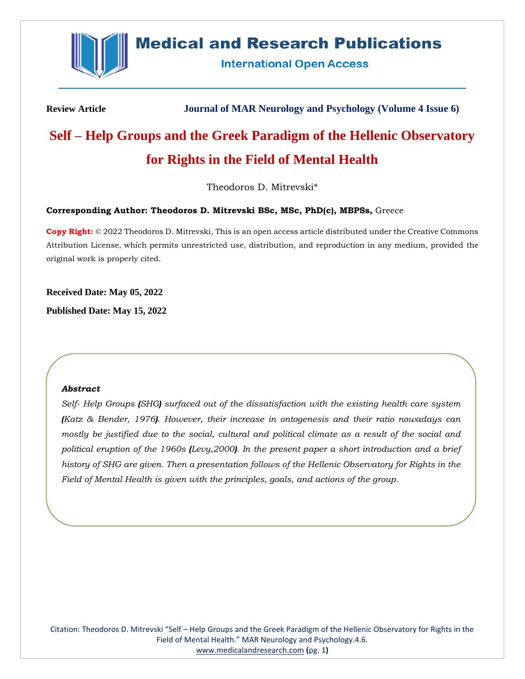

## **Medical and Research Publications**

**International Open Access** 

**Review Article Journal of MAR Neurology and Psychology (Volume 4 Issue 6)**

# **Self – Help Groups and the Greek Paradigm of the Hellenic Observatory for Rights in the Field of Mental Health**

Theodoros D. Mitrevski\*

## **Corresponding Author: Theodoros D. Mitrevski BSc, MSc, PhD(c), MBPSs,** Greece

**Copy Right:** © 2022 Theodoros D. Mitrevski, This is an open access article distributed under the Creative Commons Attribution License, which permits unrestricted use, distribution, and reproduction in any medium, provided the original work is properly cited.

**Received Date: May 05, 2022**

**Published Date: May 15, 2022**

#### *Abstract*

*Self- Help Groups (SHG) surfaced out of the dissatisfaction with the existing health care system (Katz & Bender, 1976). However, their increase in ontogenesis and their ratio nowadays can mostly be justified due to the social, cultural and political climate as a result of the social and political eruption of the 1960s (Levy,2000). In the present paper a short introduction and a brief history of SHG are given. Then a presentation follows of the Hellenic Observatory for Rights in the Field of Mental Health is given with the principles, goals, and actions of the group.*

Citation: Theodoros D. Mitrevski "Self – Help Groups and the Greek Paradigm of the Hellenic Observatory for Rights in the Field of Mental Health." MAR Neurology and Psychology.4.6. [www.medicalandresearch.com](http://www.medicalandresearch.com/) **(**pg. 1**)**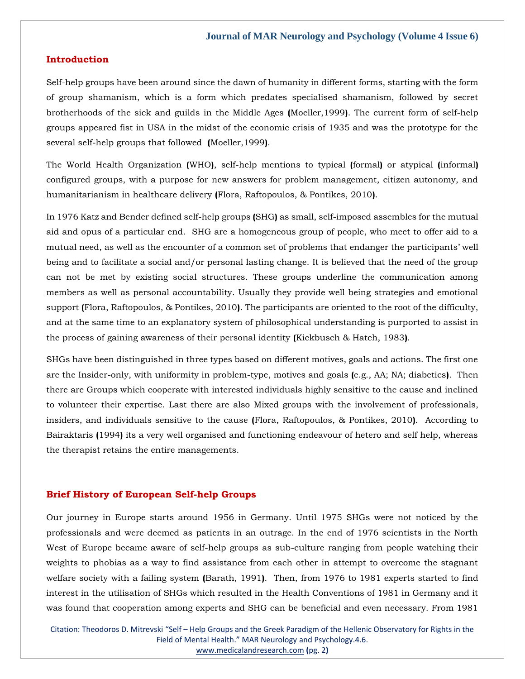## **Introduction**

Self-help groups have been around since the dawn of humanity in different forms, starting with the form of group shamanism, which is a form which predates specialised shamanism, followed by secret brotherhoods of the sick and guilds in the Middle Ages **(**Moeller,1999**)**. The current form of self-help groups appeared fist in USA in the midst of the economic crisis of 1935 and was the prototype for the several self-help groups that followed **(**Moeller,1999**)**.

The World Health Organization **(**WHO**)**, self-help mentions to typical **(**formal**)** or atypical **(**informal**)** configured groups, with a purpose for new answers for problem management, citizen autonomy, and humanitarianism in healthcare delivery **(**Flora, Raftopoulos, & Pontikes, 2010**)**.

In 1976 Katz and Bender defined self-help groups **(**SHG**)** as small, self-imposed assembles for the mutual aid and opus of a particular end. SHG are a homogeneous group of people, who meet to offer aid to a mutual need, as well as the encounter of a common set of problems that endanger the participants' well being and to facilitate a social and/or personal lasting change. It is believed that the need of the group can not be met by existing social structures. These groups underline the communication among members as well as personal accountability. Usually they provide well being strategies and emotional support **(**Flora, Raftopoulos, & Pontikes, 2010**)**. The participants are oriented to the root of the difficulty, and at the same time to an explanatory system of philosophical understanding is purported to assist in the process of gaining awareness of their personal identity **(**Kickbusch & Hatch, 1983**)**.

SHGs have been distinguished in three types based on different motives, goals and actions. The first one are the Insider-only, with uniformity in problem-type, motives and goals **(**e.g., AA; NA; diabetics**)**. Then there are Groups which cooperate with interested individuals highly sensitive to the cause and inclined to volunteer their expertise. Last there are also Mixed groups with the involvement of professionals, insiders, and individuals sensitive to the cause **(**Flora, Raftopoulos, & Pontikes, 2010**)**. According to Bairaktaris **(**1994**)** its a very well organised and functioning endeavour of hetero and self help, whereas the therapist retains the entire managements.

## **Brief History of European Self-help Groups**

Our journey in Europe starts around 1956 in Germany. Until 1975 SHGs were not noticed by the professionals and were deemed as patients in an outrage. In the end of 1976 scientists in the North West of Europe became aware of self-help groups as sub-culture ranging from people watching their weights to phobias as a way to find assistance from each other in attempt to overcome the stagnant welfare society with a failing system **(**Barath, 1991**)**. Then, from 1976 to 1981 experts started to find interest in the utilisation of SHGs which resulted in the Health Conventions of 1981 in Germany and it was found that cooperation among experts and SHG can be beneficial and even necessary. From 1981

Citation: Theodoros D. Mitrevski "Self – Help Groups and the Greek Paradigm of the Hellenic Observatory for Rights in the Field of Mental Health." MAR Neurology and Psychology.4.6. [www.medicalandresearch.com](http://www.medicalandresearch.com/) **(**pg. 2**)**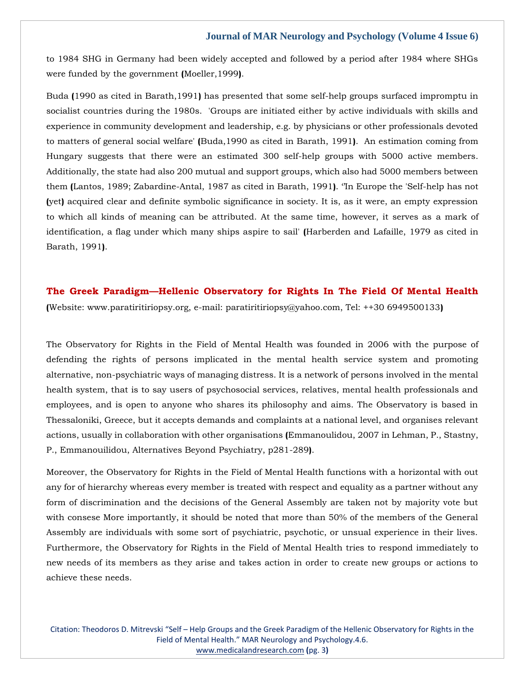to 1984 SHG in Germany had been widely accepted and followed by a period after 1984 where SHGs were funded by the government **(**Moeller,1999**)**.

Buda **(**1990 as cited in Barath,1991**)** has presented that some self-help groups surfaced impromptu in socialist countries during the 1980s. 'Groups are initiated either by active individuals with skills and experience in community development and leadership, e.g. by physicians or other professionals devoted to matters of general social welfare' **(**Buda,1990 as cited in Barath, 1991**)**. An estimation coming from Hungary suggests that there were an estimated 300 self-help groups with 5000 active members. Additionally, the state had also 200 mutual and support groups, which also had 5000 members between them **(**Lantos, 1989; Zabardine-Antal, 1987 as cited in Barath, 1991**)**. ''In Europe the 'Self-help has not **(**yet**)** acquired clear and definite symbolic significance in society. It is, as it were, an empty expression to which all kinds of meaning can be attributed. At the same time, however, it serves as a mark of identification, a flag under which many ships aspire to sail' **(**Harberden and Lafaille, 1979 as cited in Barath, 1991**)**.

## **The Greek Paradigm—Hellenic Observatory for Rights In The Field Of Mental Health**

**(**Website: www.paratiritiriopsy.org, e-mail: paratiritiriopsy@yahoo.com, Tel: ++30 6949500133**)**

The Observatory for Rights in the Field of Mental Health was founded in 2006 with the purpose of defending the rights of persons implicated in the mental health service system and promoting alternative, non-psychiatric ways of managing distress. It is a network of persons involved in the mental health system, that is to say users of psychosocial services, relatives, mental health professionals and employees, and is open to anyone who shares its philosophy and aims. The Observatory is based in Thessaloniki, Greece, but it accepts demands and complaints at a national level, and organises relevant actions, usually in collaboration with other organisations **(**Emmanoulidou, 2007 in Lehman, P., Stastny, P., Emmanouilidou, Alternatives Beyond Psychiatry, p281-289**)**.

Moreover, the Observatory for Rights in the Field of Mental Health functions with a horizontal with out any for of hierarchy whereas every member is treated with respect and equality as a partner without any form of discrimination and the decisions of the General Assembly are taken not by majority vote but with consese More importantly, it should be noted that more than 50% of the members of the General Assembly are individuals with some sort of psychiatric, psychotic, or unsual experience in their lives. Furthermore, the Observatory for Rights in the Field of Mental Health tries to respond immediately to new needs of its members as they arise and takes action in order to create new groups or actions to achieve these needs.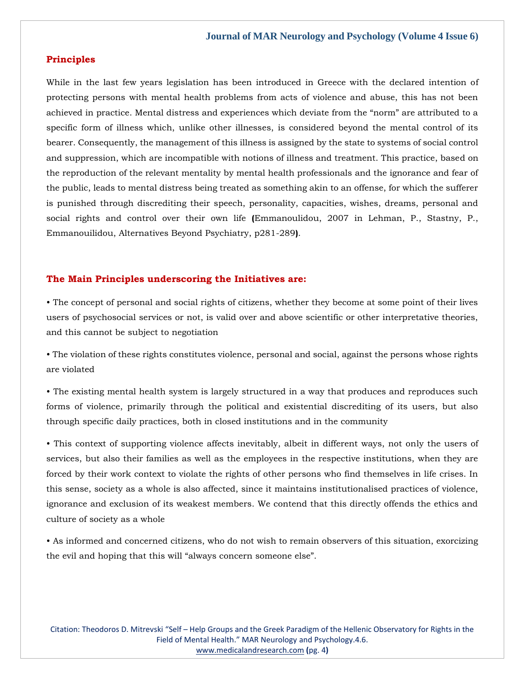## **Principles**

While in the last few years legislation has been introduced in Greece with the declared intention of protecting persons with mental health problems from acts of violence and abuse, this has not been achieved in practice. Mental distress and experiences which deviate from the "norm" are attributed to a specific form of illness which, unlike other illnesses, is considered beyond the mental control of its bearer. Consequently, the management of this illness is assigned by the state to systems of social control and suppression, which are incompatible with notions of illness and treatment. This practice, based on the reproduction of the relevant mentality by mental health professionals and the ignorance and fear of the public, leads to mental distress being treated as something akin to an offense, for which the sufferer is punished through discrediting their speech, personality, capacities, wishes, dreams, personal and social rights and control over their own life **(**Emmanoulidou, 2007 in Lehman, P., Stastny, P., Emmanouilidou, Alternatives Beyond Psychiatry, p281-289**)**.

## **The Main Principles underscoring the Initiatives are:**

• The concept of personal and social rights of citizens, whether they become at some point of their lives users of psychosocial services or not, is valid over and above scientific or other interpretative theories, and this cannot be subject to negotiation

• The violation of these rights constitutes violence, personal and social, against the persons whose rights are violated

• The existing mental health system is largely structured in a way that produces and reproduces such forms of violence, primarily through the political and existential discrediting of its users, but also through specific daily practices, both in closed institutions and in the community

• This context of supporting violence affects inevitably, albeit in different ways, not only the users of services, but also their families as well as the employees in the respective institutions, when they are forced by their work context to violate the rights of other persons who find themselves in life crises. In this sense, society as a whole is also affected, since it maintains institutionalised practices of violence, ignorance and exclusion of its weakest members. We contend that this directly offends the ethics and culture of society as a whole

• As informed and concerned citizens, who do not wish to remain observers of this situation, exorcizing the evil and hoping that this will "always concern someone else".

Citation: Theodoros D. Mitrevski "Self – Help Groups and the Greek Paradigm of the Hellenic Observatory for Rights in the Field of Mental Health." MAR Neurology and Psychology.4.6. [www.medicalandresearch.com](http://www.medicalandresearch.com/) **(**pg. 4**)**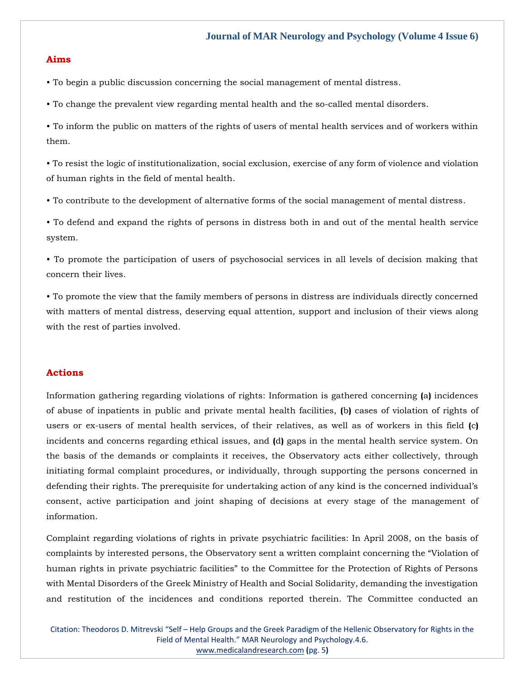#### **Aims**

• To begin a public discussion concerning the social management of mental distress.

• To change the prevalent view regarding mental health and the so-called mental disorders.

• To inform the public on matters of the rights of users of mental health services and of workers within them.

• To resist the logic of institutionalization, social exclusion, exercise of any form of violence and violation of human rights in the field of mental health.

• To contribute to the development of alternative forms of the social management of mental distress.

• To defend and expand the rights of persons in distress both in and out of the mental health service system.

• To promote the participation of users of psychosocial services in all levels of decision making that concern their lives.

• To promote the view that the family members of persons in distress are individuals directly concerned with matters of mental distress, deserving equal attention, support and inclusion of their views along with the rest of parties involved.

## **Actions**

Information gathering regarding violations of rights: Information is gathered concerning **(**a**)** incidences of abuse of inpatients in public and private mental health facilities, **(**b**)** cases of violation of rights of users or ex-users of mental health services, of their relatives, as well as of workers in this field **(**c**)** incidents and concerns regarding ethical issues, and **(**d**)** gaps in the mental health service system. On the basis of the demands or complaints it receives, the Observatory acts either collectively, through initiating formal complaint procedures, or individually, through supporting the persons concerned in defending their rights. The prerequisite for undertaking action of any kind is the concerned individual's consent, active participation and joint shaping of decisions at every stage of the management of information.

Complaint regarding violations of rights in private psychiatric facilities: In April 2008, on the basis of complaints by interested persons, the Observatory sent a written complaint concerning the "Violation of human rights in private psychiatric facilities" to the Committee for the Protection of Rights of Persons with Mental Disorders of the Greek Ministry of Health and Social Solidarity, demanding the investigation and restitution of the incidences and conditions reported therein. The Committee conducted an

Citation: Theodoros D. Mitrevski "Self – Help Groups and the Greek Paradigm of the Hellenic Observatory for Rights in the Field of Mental Health." MAR Neurology and Psychology.4.6. [www.medicalandresearch.com](http://www.medicalandresearch.com/) **(**pg. 5**)**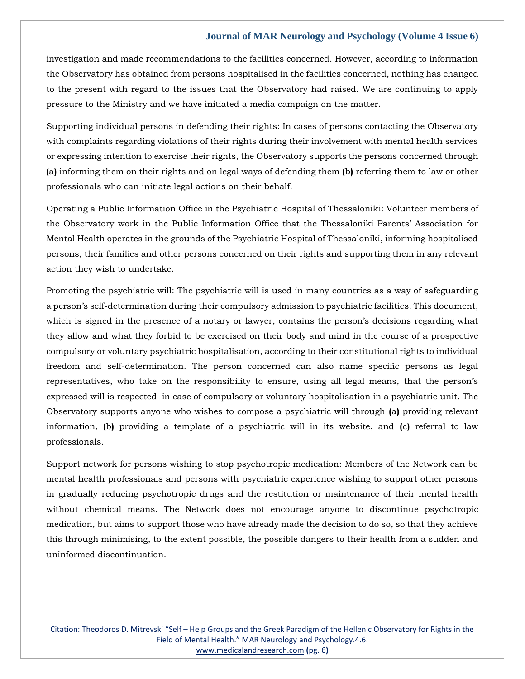investigation and made recommendations to the facilities concerned. However, according to information the Observatory has obtained from persons hospitalised in the facilities concerned, nothing has changed to the present with regard to the issues that the Observatory had raised. We are continuing to apply pressure to the Ministry and we have initiated a media campaign on the matter.

Supporting individual persons in defending their rights: In cases of persons contacting the Observatory with complaints regarding violations of their rights during their involvement with mental health services or expressing intention to exercise their rights, the Observatory supports the persons concerned through **(**a**)** informing them on their rights and on legal ways of defending them **(**b**)** referring them to law or other professionals who can initiate legal actions on their behalf.

Operating a Public Information Office in the Psychiatric Hospital of Thessaloniki: Volunteer members of the Observatory work in the Public Information Office that the Thessaloniki Parents' Association for Mental Health operates in the grounds of the Psychiatric Hospital of Thessaloniki, informing hospitalised persons, their families and other persons concerned on their rights and supporting them in any relevant action they wish to undertake.

Promoting the psychiatric will: The psychiatric will is used in many countries as a way of safeguarding a person's self-determination during their compulsory admission to psychiatric facilities. This document, which is signed in the presence of a notary or lawyer, contains the person's decisions regarding what they allow and what they forbid to be exercised on their body and mind in the course of a prospective compulsory or voluntary psychiatric hospitalisation, according to their constitutional rights to individual freedom and self-determination. The person concerned can also name specific persons as legal representatives, who take on the responsibility to ensure, using all legal means, that the person's expressed will is respected in case of compulsory or voluntary hospitalisation in a psychiatric unit. The Observatory supports anyone who wishes to compose a psychiatric will through **(**a**)** providing relevant information, **(**b**)** providing a template of a psychiatric will in its website, and **(**c**)** referral to law professionals.

Support network for persons wishing to stop psychotropic medication: Members of the Network can be mental health professionals and persons with psychiatric experience wishing to support other persons in gradually reducing psychotropic drugs and the restitution or maintenance of their mental health without chemical means. The Network does not encourage anyone to discontinue psychotropic medication, but aims to support those who have already made the decision to do so, so that they achieve this through minimising, to the extent possible, the possible dangers to their health from a sudden and uninformed discontinuation.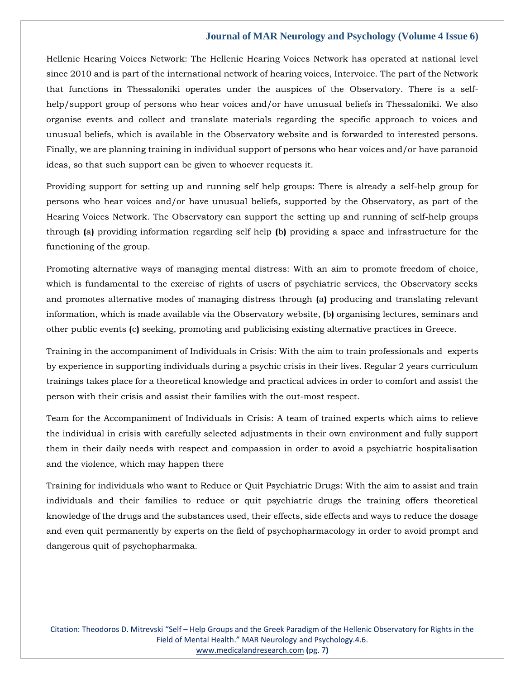Hellenic Hearing Voices Network: The Hellenic Hearing Voices Network has operated at national level since 2010 and is part of the international network of hearing voices, Intervoice. The part of the Network that functions in Thessaloniki operates under the auspices of the Observatory. There is a selfhelp/support group of persons who hear voices and/or have unusual beliefs in Thessaloniki. We also organise events and collect and translate materials regarding the specific approach to voices and unusual beliefs, which is available in the Observatory website and is forwarded to interested persons. Finally, we are planning training in individual support of persons who hear voices and/or have paranoid ideas, so that such support can be given to whoever requests it.

Providing support for setting up and running self help groups: There is already a self-help group for persons who hear voices and/or have unusual beliefs, supported by the Observatory, as part of the Hearing Voices Network. The Observatory can support the setting up and running of self-help groups through **(**a**)** providing information regarding self help **(**b**)** providing a space and infrastructure for the functioning of the group.

Promoting alternative ways of managing mental distress: With an aim to promote freedom of choice, which is fundamental to the exercise of rights of users of psychiatric services, the Observatory seeks and promotes alternative modes of managing distress through **(**a**)** producing and translating relevant information, which is made available via the Observatory website, **(**b**)** organising lectures, seminars and other public events **(**c**)** seeking, promoting and publicising existing alternative practices in Greece.

Training in the accompaniment of Individuals in Crisis: With the aim to train professionals and experts by experience in supporting individuals during a psychic crisis in their lives. Regular 2 years curriculum trainings takes place for a theoretical knowledge and practical advices in order to comfort and assist the person with their crisis and assist their families with the out-most respect.

Team for the Accompaniment of Individuals in Crisis: A team of trained experts which aims to relieve the individual in crisis with carefully selected adjustments in their own environment and fully support them in their daily needs with respect and compassion in order to avoid a psychiatric hospitalisation and the violence, which may happen there

Training for individuals who want to Reduce or Quit Psychiatric Drugs: With the aim to assist and train individuals and their families to reduce or quit psychiatric drugs the training offers theoretical knowledge of the drugs and the substances used, their effects, side effects and ways to reduce the dosage and even quit permanently by experts on the field of psychopharmacology in order to avoid prompt and dangerous quit of psychopharmaka.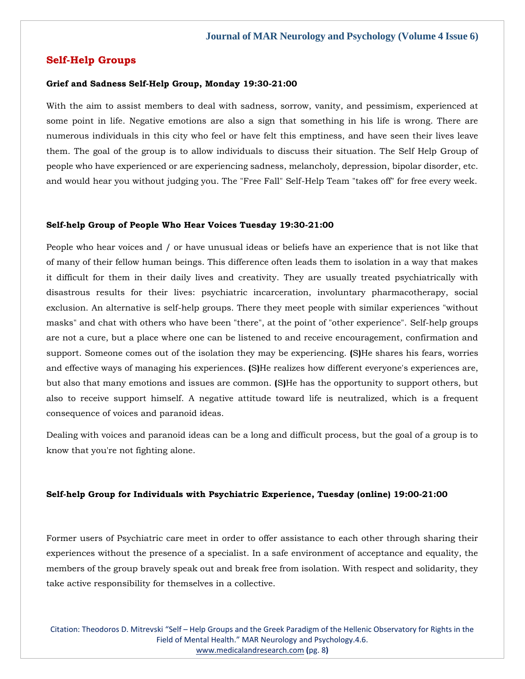## **Self-Help Groups**

#### **Grief and Sadness Self-Help Group, Monday 19:30-21:00**

With the aim to assist members to deal with sadness, sorrow, vanity, and pessimism, experienced at some point in life. Negative emotions are also a sign that something in his life is wrong. There are numerous individuals in this city who feel or have felt this emptiness, and have seen their lives leave them. The goal of the group is to allow individuals to discuss their situation. The Self Help Group of people who have experienced or are experiencing sadness, melancholy, depression, bipolar disorder, etc. and would hear you without judging you. The "Free Fall" Self-Help Team "takes off" for free every week.

#### **Self-help Group of People Who Hear Voices Tuesday 19:30-21:00**

People who hear voices and / or have unusual ideas or beliefs have an experience that is not like that of many of their fellow human beings. This difference often leads them to isolation in a way that makes it difficult for them in their daily lives and creativity. They are usually treated psychiatrically with disastrous results for their lives: psychiatric incarceration, involuntary pharmacotherapy, social exclusion. An alternative is self-help groups. There they meet people with similar experiences "without masks" and chat with others who have been "there", at the point of "other experience". Self-help groups are not a cure, but a place where one can be listened to and receive encouragement, confirmation and support. Someone comes out of the isolation they may be experiencing. **(**S**)**He shares his fears, worries and effective ways of managing his experiences. **(**S**)**He realizes how different everyone's experiences are, but also that many emotions and issues are common. **(**S**)**He has the opportunity to support others, but also to receive support himself. A negative attitude toward life is neutralized, which is a frequent consequence of voices and paranoid ideas.

Dealing with voices and paranoid ideas can be a long and difficult process, but the goal of a group is to know that you're not fighting alone.

#### **Self-help Group for Individuals with Psychiatric Experience, Tuesday (online) 19:00-21:00**

Former users of Psychiatric care meet in order to offer assistance to each other through sharing their experiences without the presence of a specialist. In a safe environment of acceptance and equality, the members of the group bravely speak out and break free from isolation. With respect and solidarity, they take active responsibility for themselves in a collective.

Citation: Theodoros D. Mitrevski "Self – Help Groups and the Greek Paradigm of the Hellenic Observatory for Rights in the Field of Mental Health." MAR Neurology and Psychology.4.6. [www.medicalandresearch.com](http://www.medicalandresearch.com/) **(**pg. 8**)**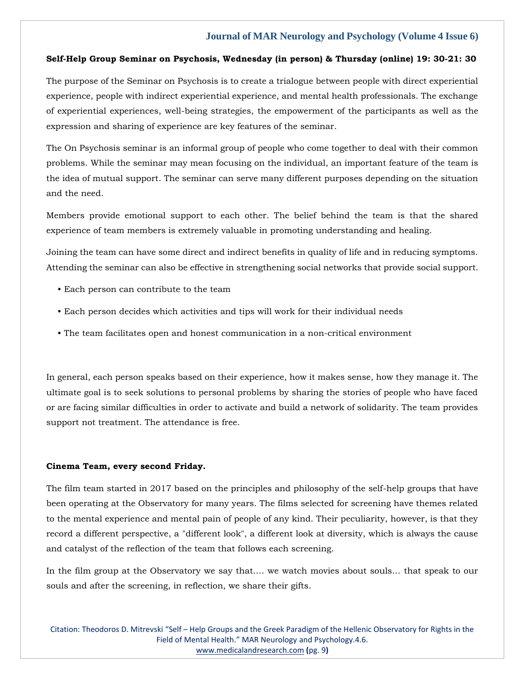#### **Self-Help Group Seminar on Psychosis, Wednesday (in person) & Thursday (online) 19: 30-21: 30**

The purpose of the Seminar on Psychosis is to create a trialogue between people with direct experiential experience, people with indirect experiential experience, and mental health professionals. The exchange of experiential experiences, well-being strategies, the empowerment of the participants as well as the expression and sharing of experience are key features of the seminar.

The On Psychosis seminar is an informal group of people who come together to deal with their common problems. While the seminar may mean focusing on the individual, an important feature of the team is the idea of mutual support. The seminar can serve many different purposes depending on the situation and the need.

Members provide emotional support to each other. The belief behind the team is that the shared experience of team members is extremely valuable in promoting understanding and healing.

Joining the team can have some direct and indirect benefits in quality of life and in reducing symptoms. Attending the seminar can also be effective in strengthening social networks that provide social support.

- Each person can contribute to the team
- Each person decides which activities and tips will work for their individual needs
- The team facilitates open and honest communication in a non-critical environment

In general, each person speaks based on their experience, how it makes sense, how they manage it. The ultimate goal is to seek solutions to personal problems by sharing the stories of people who have faced or are facing similar difficulties in order to activate and build a network of solidarity. The team provides support not treatment. The attendance is free.

#### **Cinema Team, every second Friday.**

The film team started in 2017 based on the principles and philosophy of the self-help groups that have been operating at the Observatory for many years. The films selected for screening have themes related to the mental experience and mental pain of people of any kind. Their peculiarity, however, is that they record a different perspective, a "different look", a different look at diversity, which is always the cause and catalyst of the reflection of the team that follows each screening.

In the film group at the Observatory we say that…. we watch movies about souls… that speak to our souls and after the screening, in reflection, we share their gifts.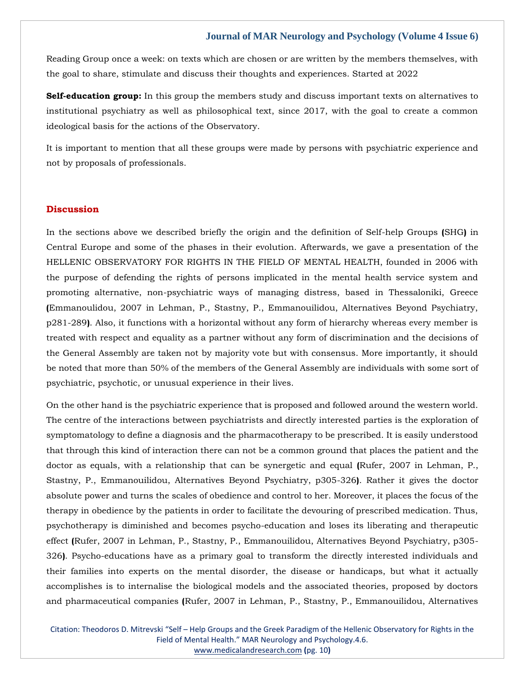Reading Group once a week: on texts which are chosen or are written by the members themselves, with the goal to share, stimulate and discuss their thoughts and experiences. Started at 2022

**Self-education group:** In this group the members study and discuss important texts on alternatives to institutional psychiatry as well as philosophical text, since 2017, with the goal to create a common ideological basis for the actions of the Observatory.

It is important to mention that all these groups were made by persons with psychiatric experience and not by proposals of professionals.

#### **Discussion**

In the sections above we described briefly the origin and the definition of Self-help Groups **(**SHG**)** in Central Europe and some of the phases in their evolution. Afterwards, we gave a presentation of the HELLENIC OBSERVATORY FOR RIGHTS IN THE FIELD OF MENTAL HEALTH, founded in 2006 with the purpose of defending the rights of persons implicated in the mental health service system and promoting alternative, non-psychiatric ways of managing distress, based in Thessaloniki, Greece **(**Emmanoulidou, 2007 in Lehman, P., Stastny, P., Emmanouilidou, Alternatives Beyond Psychiatry, p281-289**)**. Also, it functions with a horizontal without any form of hierarchy whereas every member is treated with respect and equality as a partner without any form of discrimination and the decisions of the General Assembly are taken not by majority vote but with consensus. More importantly, it should be noted that more than 50% of the members of the General Assembly are individuals with some sort of psychiatric, psychotic, or unusual experience in their lives.

On the other hand is the psychiatric experience that is proposed and followed around the western world. The centre of the interactions between psychiatrists and directly interested parties is the exploration of symptomatology to define a diagnosis and the pharmacotherapy to be prescribed. It is easily understood that through this kind of interaction there can not be a common ground that places the patient and the doctor as equals, with a relationship that can be synergetic and equal **(**Rufer, 2007 in Lehman, P., Stastny, P., Emmanouilidou, Alternatives Beyond Psychiatry, p305-326**)**. Rather it gives the doctor absolute power and turns the scales of obedience and control to her. Moreover, it places the focus of the therapy in obedience by the patients in order to facilitate the devouring of prescribed medication. Thus, psychotherapy is diminished and becomes psycho-education and loses its liberating and therapeutic effect **(**Rufer, 2007 in Lehman, P., Stastny, P., Emmanouilidou, Alternatives Beyond Psychiatry, p305- 326**)**. Psycho-educations have as a primary goal to transform the directly interested individuals and their families into experts on the mental disorder, the disease or handicaps, but what it actually accomplishes is to internalise the biological models and the associated theories, proposed by doctors and pharmaceutical companies **(**Rufer, 2007 in Lehman, P., Stastny, P., Emmanouilidou, Alternatives

Citation: Theodoros D. Mitrevski "Self – Help Groups and the Greek Paradigm of the Hellenic Observatory for Rights in the Field of Mental Health." MAR Neurology and Psychology.4.6. [www.medicalandresearch.com](http://www.medicalandresearch.com/) **(**pg. 10**)**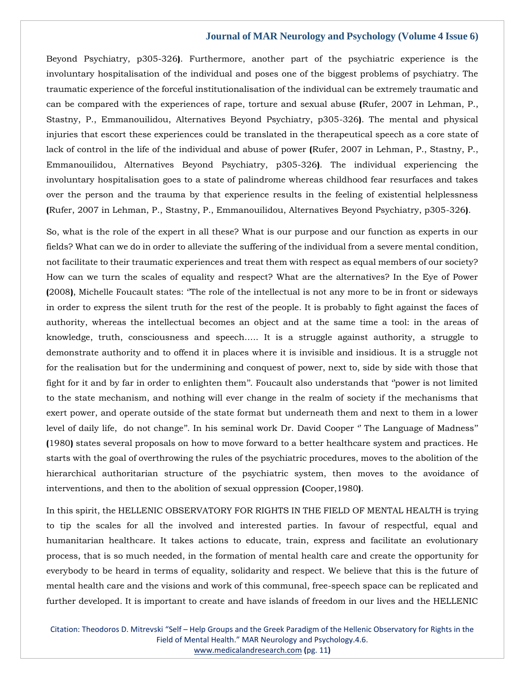Beyond Psychiatry, p305-326**)**. Furthermore, another part of the psychiatric experience is the involuntary hospitalisation of the individual and poses one of the biggest problems of psychiatry. The traumatic experience of the forceful institutionalisation of the individual can be extremely traumatic and can be compared with the experiences of rape, torture and sexual abuse **(**Rufer, 2007 in Lehman, P., Stastny, P., Emmanouilidou, Alternatives Beyond Psychiatry, p305-326**)**. The mental and physical injuries that escort these experiences could be translated in the therapeutical speech as a core state of lack of control in the life of the individual and abuse of power **(**Rufer, 2007 in Lehman, P., Stastny, P., Emmanouilidou, Alternatives Beyond Psychiatry, p305-326**)**. The individual experiencing the involuntary hospitalisation goes to a state of palindrome whereas childhood fear resurfaces and takes over the person and the trauma by that experience results in the feeling of existential helplessness **(**Rufer, 2007 in Lehman, P., Stastny, P., Emmanouilidou, Alternatives Beyond Psychiatry, p305-326**)**.

So, what is the role of the expert in all these? What is our purpose and our function as experts in our fields? What can we do in order to alleviate the suffering of the individual from a severe mental condition, not facilitate to their traumatic experiences and treat them with respect as equal members of our society? How can we turn the scales of equality and respect? What are the alternatives? In the Eye of Power **(**2008**)**, Michelle Foucault states: ''The role of the intellectual is not any more to be in front or sideways in order to express the silent truth for the rest of the people. It is probably to fight against the faces of authority, whereas the intellectual becomes an object and at the same time a tool: in the areas of knowledge, truth, consciousness and speech….. It is a struggle against authority, a struggle to demonstrate authority and to offend it in places where it is invisible and insidious. It is a struggle not for the realisation but for the undermining and conquest of power, next to, side by side with those that fight for it and by far in order to enlighten them''. Foucault also understands that ''power is not limited to the state mechanism, and nothing will ever change in the realm of society if the mechanisms that exert power, and operate outside of the state format but underneath them and next to them in a lower level of daily life, do not change". In his seminal work Dr. David Cooper "The Language of Madness" **(**1980**)** states several proposals on how to move forward to a better healthcare system and practices. He starts with the goal of overthrowing the rules of the psychiatric procedures, moves to the abolition of the hierarchical authoritarian structure of the psychiatric system, then moves to the avoidance of interventions, and then to the abolition of sexual oppression **(**Cooper,1980**)**.

In this spirit, the HELLENIC OBSERVATORY FOR RIGHTS IN THE FIELD OF MENTAL HEALTH is trying to tip the scales for all the involved and interested parties. In favour of respectful, equal and humanitarian healthcare. It takes actions to educate, train, express and facilitate an evolutionary process, that is so much needed, in the formation of mental health care and create the opportunity for everybody to be heard in terms of equality, solidarity and respect. We believe that this is the future of mental health care and the visions and work of this communal, free-speech space can be replicated and further developed. It is important to create and have islands of freedom in our lives and the HELLENIC

Citation: Theodoros D. Mitrevski "Self – Help Groups and the Greek Paradigm of the Hellenic Observatory for Rights in the Field of Mental Health." MAR Neurology and Psychology.4.6. [www.medicalandresearch.com](http://www.medicalandresearch.com/) **(**pg. 11**)**